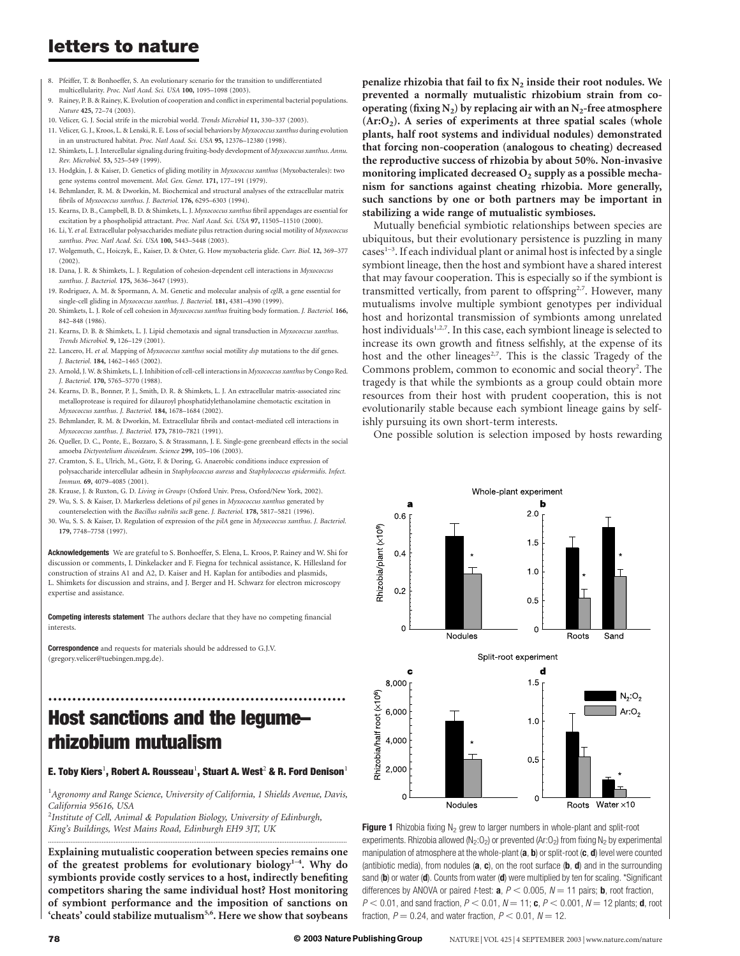## letters to nature

- 8. Pfeiffer, T. & Bonhoeffer, S. An evolutionary scenario for the transition to undifferentiated multicellularity. Proc. Natl Acad. Sci. USA 100, 1095–1098 (2003).
- 9. Rainey, P. B. & Rainey, K. Evolution of cooperation and conflict in experimental bacterial populations. Nature 425, 72–74 (2003).
- 10. Velicer, G. J. Social strife in the microbial world. Trends Microbiol 11, 330–337 (2003).
- 11. Velicer, G. J., Kroos, L. & Lenski, R. E. Loss of social behaviors by Myxococcus xanthus during evolution in an unstructured habitat. Proc. Natl Acad. Sci. USA 95, 12376–12380 (1998).
- 12. Shimkets, L. J. Intercellular signaling during fruiting-body development of Myxococcus xanthus. Annu. Rev. Microbiol. 53, 525–549 (1999).
- 13. Hodgkin, J. & Kaiser, D. Genetics of gliding motility in Myxococcus xanthus (Myxobacterales): two gene systems control movement. Mol. Gen. Genet. 171, 177–191 (1979).
- 14. Behmlander, R. M. & Dworkin, M. Biochemical and structural analyses of the extracellular matrix fibrils of Myxococcus xanthus. J. Bacteriol. 176, 6295–6303 (1994).
- 15. Kearns, D. B., Campbell, B. D. & Shimkets, L. J. Myxococcus xanthus fibril appendages are essential for excitation by a phospholipid attractant. Proc. Natl Acad. Sci. USA 97, 11505-11510 (2000).
- 16. Li, Y. et al. Extracellular polysaccharides mediate pilus retraction during social motility of Myxococcus xanthus. Proc. Natl Acad. Sci. USA 100, 5443–5448 (2003).
- 17. Wolgemuth, C., Hoiczyk, E., Kaiser, D. & Oster, G. How myxobacteria glide. Curr. Biol. 12, 369–377 (2002).
- 18. Dana, J. R. & Shimkets, L. J. Regulation of cohesion-dependent cell interactions in Myxococcus xanthus. J. Bacteriol. 175, 3636–3647 (1993).
- 19. Rodriguez, A. M. & Spormann, A. M. Genetic and molecular analysis of cglB, a gene essential for single-cell gliding in Myxococcus xanthus. J. Bacteriol. 181, 4381-4390 (1999).
- 20. Shimkets, L. J. Role of cell cohesion in Myxococcus xanthus fruiting body formation. J. Bacteriol. 166, 842–848 (1986).
- 21. Kearns, D. B. & Shimkets, L. J. Lipid chemotaxis and signal transduction in Myxococcus xanthus. Trends Microbiol. 9, 126–129 (2001).
- 22. Lancero, H. et al. Mapping of Myxococcus xanthus social motility dsp mutations to the dif genes. J. Bacteriol. 184, 1462–1465 (2002).
- 23. Arnold, J. W. & Shimkets, L. J. Inhibition of cell-cell interactions in Myxococcus xanthus by Congo Red. J. Bacteriol. 170, 5765–5770 (1988).
- 24. Kearns, D. B., Bonner, P. J., Smith, D. R. & Shimkets, L. J. An extracellular matrix-associated zinc metalloprotease is required for dilauroyl phosphatidylethanolamine chemotactic excitation in Myxococcus xanthus. J. Bacteriol. 184, 1678–1684 (2002).
- 25. Behmlander, R. M. & Dworkin, M. Extracellular fibrils and contact-mediated cell interactions in Myxococcus xanthus. J. Bacteriol. 173, 7810–7821 (1991).
- 26. Queller, D. C., Ponte, E., Bozzaro, S. & Strassmann, J. E. Single-gene greenbeard effects in the social amoeba Dictyostelium discoideum. Science 299, 105–106 (2003).
- 27. Cramton, S. E., Ulrich, M., Götz, F. & Doring, G. Anaerobic conditions induce expression of polysaccharide intercellular adhesin in Staphylococcus aureus and Staphylococcus epidermidis. Infect. Immun. 69, 4079-4085 (2001).
- 28. Krause, J. & Ruxton, G. D. Living in Groups (Oxford Univ. Press, Oxford/New York, 2002).
- 29. Wu, S. S. & Kaiser, D. Markerless deletions of pil genes in Myxococcus xanthus generated by counterselection with the Bacillus subtilis sacB gene. J. Bacteriol. 178, 5817–5821 (1996).
- 30. Wu, S. S. & Kaiser, D. Regulation of expression of the pilA gene in Myxococcus xanthus. J. Bacteriol. 179, 7748–7758 (1997).

Acknowledgements We are grateful to S. Bonhoeffer, S. Elena, L. Kroos, P. Rainey and W. Shi for discussion or comments, I. Dinkelacker and F. Fiegna for technical assistance, K. Hillesland for construction of strains A1 and A2, D. Kaiser and H. Kaplan for antibodies and plasmids, L. Shimkets for discussion and strains, and J. Berger and H. Schwarz for electron microscopy expertise and assistance.

Competing interests statement The authors declare that they have no competing financial interests.

**Correspondence** and requests for materials should be addressed to G.I.V. (gregory.velicer@tuebingen.mpg.de).

# Host sanctions and the legume– rhizobium mutualism

### E. Toby Kiers<sup>1</sup>, Robert A. Rousseau<sup>1</sup>, Stuart A. West<sup>2</sup> & R. Ford Denison<sup>1</sup>

..............................................................

<sup>1</sup> Agronomy and Range Science, University of California, 1 Shields Avenue, Davis, California 95616, USA

 $^{2}$ Institute of Cell, Animal & Population Biology, University of Edinburgh, King's Buildings, West Mains Road, Edinburgh EH9 3JT, UK

Explaining mutualistic cooperation between species remains one of the greatest problems for evolutionary biology<sup>1-4</sup>. Why do symbionts provide costly services to a host, indirectly benefiting competitors sharing the same individual host? Host monitoring of symbiont performance and the imposition of sanctions on 'cheats' could stabilize mutualism<sup>5,6</sup>. Here we show that soybeans

.............................................................................................................................................................................

penalize rhizobia that fail to fix  $N_2$  inside their root nodules. We prevented a normally mutualistic rhizobium strain from cooperating (fixing  $N_2$ ) by replacing air with an  $N_2$ -free atmosphere  $(Ar:O<sub>2</sub>)$ . A series of experiments at three spatial scales (whole plants, half root systems and individual nodules) demonstrated that forcing non-cooperation (analogous to cheating) decreased the reproductive success of rhizobia by about 50%. Non-invasive monitoring implicated decreased  $O_2$  supply as a possible mechanism for sanctions against cheating rhizobia. More generally, such sanctions by one or both partners may be important in stabilizing a wide range of mutualistic symbioses.

Mutually beneficial symbiotic relationships between species are ubiquitous, but their evolutionary persistence is puzzling in many  $cases^{1-3}$ . If each individual plant or animal host is infected by a single symbiont lineage, then the host and symbiont have a shared interest that may favour cooperation. This is especially so if the symbiont is transmitted vertically, from parent to offspring<sup>2,7</sup>. However, many mutualisms involve multiple symbiont genotypes per individual host and horizontal transmission of symbionts among unrelated host individuals<sup>1,2,7</sup>. In this case, each symbiont lineage is selected to increase its own growth and fitness selfishly, at the expense of its host and the other lineages<sup>2,7</sup>. This is the classic Tragedy of the Commons problem, common to economic and social theory<sup>2</sup>. The tragedy is that while the symbionts as a group could obtain more resources from their host with prudent cooperation, this is not evolutionarily stable because each symbiont lineage gains by selfishly pursuing its own short-term interests.

One possible solution is selection imposed by hosts rewarding



Figure 1 Rhizobia fixing  $N_2$  grew to larger numbers in whole-plant and split-root experiments. Rhizobia allowed (N<sub>2</sub>:O<sub>2</sub>) or prevented (Ar:O<sub>2</sub>) from fixing N<sub>2</sub> by experimental manipulation of atmosphere at the whole-plant  $(a, b)$  or split-root  $(c, d)$  level were counted (antibiotic media), from nodules  $(a, c)$ , on the root surface  $(b, d)$  and in the surrounding sand (b) or water (d). Counts from water (d) were multiplied by ten for scaling. \*Significant differences by ANOVA or paired *t*-test: **a**,  $P < 0.005$ ,  $N = 11$  pairs; **b**, root fraction,  $P < 0.01$ , and sand fraction,  $P < 0.01$ ,  $N = 11$ ; **c**,  $P < 0.001$ ,  $N = 12$  plants; **d**, root fraction,  $P = 0.24$ , and water fraction,  $P < 0.01$ ,  $N = 12$ .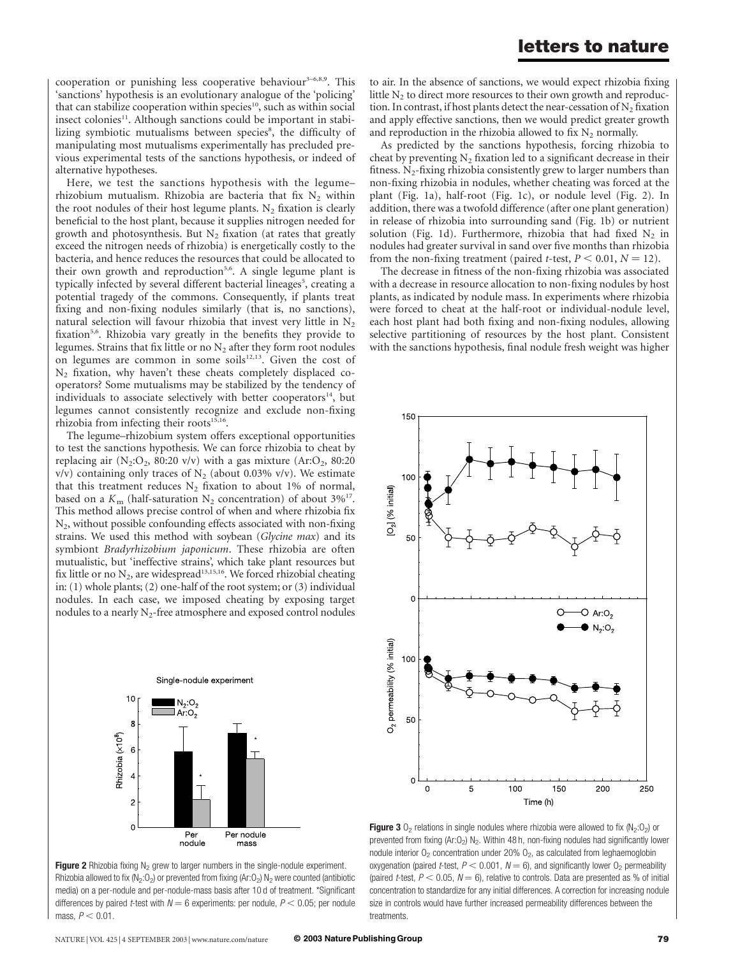cooperation or punishing less cooperative behaviour<sup>3–6,8,9</sup>. This 'sanctions' hypothesis is an evolutionary analogue of the 'policing' that can stabilize cooperation within species<sup>10</sup>, such as within social insect colonies<sup>11</sup>. Although sanctions could be important in stabilizing symbiotic mutualisms between species<sup>8</sup>, the difficulty of manipulating most mutualisms experimentally has precluded previous experimental tests of the sanctions hypothesis, or indeed of alternative hypotheses.

Here, we test the sanctions hypothesis with the legume– rhizobium mutualism. Rhizobia are bacteria that fix  $N_2$  within the root nodules of their host legume plants.  $N_2$  fixation is clearly beneficial to the host plant, because it supplies nitrogen needed for growth and photosynthesis. But  $N_2$  fixation (at rates that greatly exceed the nitrogen needs of rhizobia) is energetically costly to the bacteria, and hence reduces the resources that could be allocated to their own growth and reproduction<sup>5,6</sup>. A single legume plant is typically infected by several different bacterial lineages<sup>5</sup>, creating a potential tragedy of the commons. Consequently, if plants treat fixing and non-fixing nodules similarly (that is, no sanctions), natural selection will favour rhizobia that invest very little in  $N_2$ fixation<sup>5,6</sup>. Rhizobia vary greatly in the benefits they provide to legumes. Strains that fix little or no  $N_2$  after they form root nodules on legumes are common in some soils $12,13$ . Given the cost of  $N_2$  fixation, why haven't these cheats completely displaced cooperators? Some mutualisms may be stabilized by the tendency of individuals to associate selectively with better cooperators $14$ , but legumes cannot consistently recognize and exclude non-fixing rhizobia from infecting their roots<sup>15,16</sup>.

The legume–rhizobium system offers exceptional opportunities to test the sanctions hypothesis. We can force rhizobia to cheat by replacing air  $(N_2:O_2, 80:20 \text{ v/v})$  with a gas mixture  $(Ar:O_2, 80:20 \text{ m})$  $v/v$ ) containing only traces of N<sub>2</sub> (about 0.03% v/v). We estimate that this treatment reduces  $N_2$  fixation to about 1% of normal, based on a  $K_{\rm m}$  (half-saturation N<sub>2</sub> concentration) of about 3%<sup>17</sup>. This method allows precise control of when and where rhizobia fix  $N_2$ , without possible confounding effects associated with non-fixing strains. We used this method with soybean (Glycine max) and its symbiont Bradyrhizobium japonicum. These rhizobia are often mutualistic, but 'ineffective strains', which take plant resources but fix little or no  $N_2$ , are widespread<sup>13,15,16</sup>. We forced rhizobial cheating in: (1) whole plants; (2) one-half of the root system; or (3) individual nodules. In each case, we imposed cheating by exposing target nodules to a nearly  $N_2$ -free atmosphere and exposed control nodules



**Figure 2** Rhizobia fixing  $N_2$  grew to larger numbers in the single-nodule experiment. Rhizobia allowed to fix (N<sub>2</sub>:O<sub>2</sub>) or prevented from fixing (Ar:O<sub>2</sub>) N<sub>2</sub> were counted (antibiotic media) on a per-nodule and per-nodule-mass basis after 10 d of treatment. \*Significant differences by paired *t*-test with  $N = 6$  experiments: per nodule,  $P < 0.05$ ; per nodule mass,  $P < 0.01$ .

to air. In the absence of sanctions, we would expect rhizobia fixing little  $N_2$  to direct more resources to their own growth and reproduction. In contrast, if host plants detect the near-cessation of  $N_2$  fixation and apply effective sanctions, then we would predict greater growth and reproduction in the rhizobia allowed to fix  $N_2$  normally.

As predicted by the sanctions hypothesis, forcing rhizobia to cheat by preventing  $N_2$  fixation led to a significant decrease in their fitness.  $N_2$ -fixing rhizobia consistently grew to larger numbers than non-fixing rhizobia in nodules, whether cheating was forced at the plant (Fig. 1a), half-root (Fig. 1c), or nodule level (Fig. 2). In addition, there was a twofold difference (after one plant generation) in release of rhizobia into surrounding sand (Fig. 1b) or nutrient solution (Fig. 1d). Furthermore, rhizobia that had fixed  $N_2$  in nodules had greater survival in sand over five months than rhizobia from the non-fixing treatment (paired *t*-test,  $P < 0.01$ ,  $N = 12$ ).

The decrease in fitness of the non-fixing rhizobia was associated with a decrease in resource allocation to non-fixing nodules by host plants, as indicated by nodule mass. In experiments where rhizobia were forced to cheat at the half-root or individual-nodule level, each host plant had both fixing and non-fixing nodules, allowing selective partitioning of resources by the host plant. Consistent with the sanctions hypothesis, final nodule fresh weight was higher



Figure 3  $O_2$  relations in single nodules where rhizobia were allowed to fix ( $N_2:O_2$ ) or prevented from fixing (Ar:O<sub>2</sub>) N<sub>2</sub>. Within 48 h, non-fixing nodules had significantly lower nodule interior  $O<sub>2</sub>$  concentration under 20%  $O<sub>2</sub>$ , as calculated from leghaemoglobin oxygenation (paired *t*-test,  $P < 0.001$ ,  $N = 6$ ), and significantly lower  $O<sub>2</sub>$  permeability (paired *t*-test,  $P < 0.05$ ,  $N = 6$ ), relative to controls. Data are presented as % of initial concentration to standardize for any initial differences. A correction for increasing nodule size in controls would have further increased permeability differences between the treatments.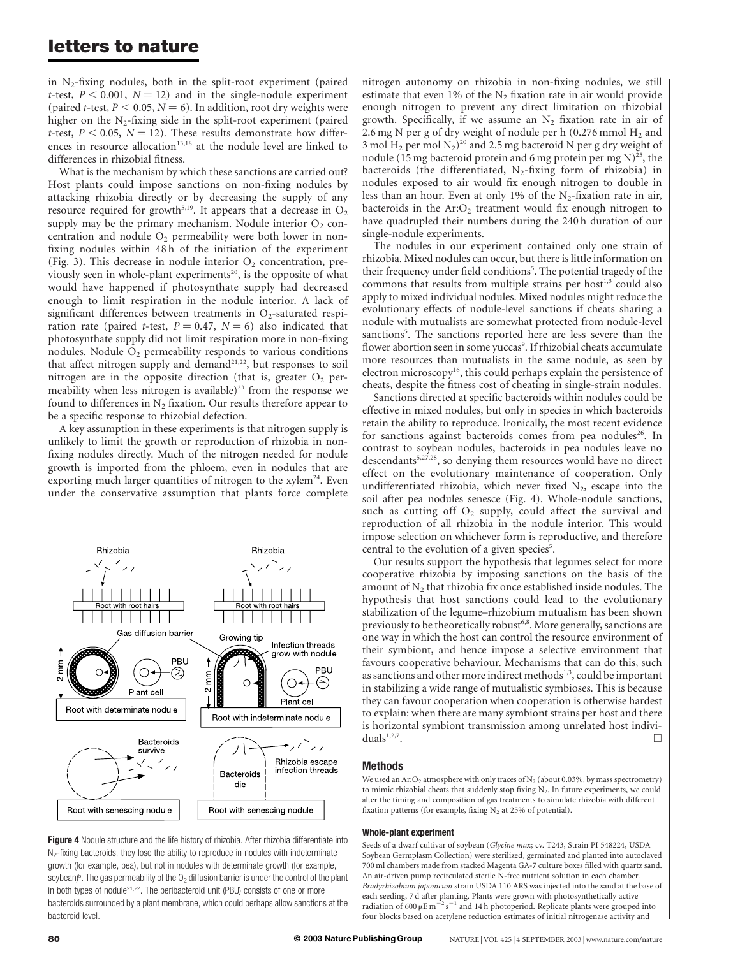### letters to nature

in  $N_2$ -fixing nodules, both in the split-root experiment (paired t-test,  $P < 0.001$ ,  $N = 12$ ) and in the single-nodule experiment (paired *t*-test,  $P < 0.05$ ,  $N = 6$ ). In addition, root dry weights were higher on the  $N_2$ -fixing side in the split-root experiment (paired t-test,  $P < 0.05$ ,  $N = 12$ ). These results demonstrate how differences in resource allocation<sup>13,18</sup> at the nodule level are linked to differences in rhizobial fitness.

What is the mechanism by which these sanctions are carried out? Host plants could impose sanctions on non-fixing nodules by attacking rhizobia directly or by decreasing the supply of any resource required for growth<sup>5,19</sup>. It appears that a decrease in  $O_2$ supply may be the primary mechanism. Nodule interior  $O_2$  concentration and nodule  $O_2$  permeability were both lower in nonfixing nodules within 48 h of the initiation of the experiment (Fig. 3). This decrease in nodule interior  $O_2$  concentration, previously seen in whole-plant experiments<sup>20</sup>, is the opposite of what would have happened if photosynthate supply had decreased enough to limit respiration in the nodule interior. A lack of significant differences between treatments in  $O_2$ -saturated respiration rate (paired t-test,  $P = 0.47$ ,  $N = 6$ ) also indicated that photosynthate supply did not limit respiration more in non-fixing nodules. Nodule  $O_2$  permeability responds to various conditions that affect nitrogen supply and demand<sup>21,22</sup>, but responses to soil nitrogen are in the opposite direction (that is, greater  $O_2$  permeability when less nitrogen is available)<sup>23</sup> from the response we found to differences in  $N_2$  fixation. Our results therefore appear to be a specific response to rhizobial defection.

A key assumption in these experiments is that nitrogen supply is unlikely to limit the growth or reproduction of rhizobia in nonfixing nodules directly. Much of the nitrogen needed for nodule growth is imported from the phloem, even in nodules that are exporting much larger quantities of nitrogen to the  $xy$ lem<sup>24</sup>. Even under the conservative assumption that plants force complete



Figure 4 Nodule structure and the life history of rhizobia. After rhizobia differentiate into  $N_2$ -fixing bacteroids, they lose the ability to reproduce in nodules with indeterminate growth (for example, pea), but not in nodules with determinate growth (for example, soybean) $^5$ . The gas permeability of the O $_2$  diffusion barrier is under the control of the plant in both types of nodule<sup>21,22</sup>. The peribacteroid unit (PBU) consists of one or more bacteroids surrounded by a plant membrane, which could perhaps allow sanctions at the bacteroid level.

nitrogen autonomy on rhizobia in non-fixing nodules, we still estimate that even 1% of the  $N_2$  fixation rate in air would provide enough nitrogen to prevent any direct limitation on rhizobial growth. Specifically, if we assume an  $N_2$  fixation rate in air of 2.6 mg N per g of dry weight of nodule per h (0.276 mmol  $H_2$  and 3 mol  $H_2$  per mol  $N_2$ )<sup>20</sup> and 2.5 mg bacteroid N per g dry weight of nodule (15 mg bacteroid protein and 6 mg protein per mg  $N$ )<sup>25</sup>, the bacteroids (the differentiated,  $N_2$ -fixing form of rhizobia) in nodules exposed to air would fix enough nitrogen to double in less than an hour. Even at only 1% of the  $N_2$ -fixation rate in air, bacteroids in the  $Ar:O<sub>2</sub>$  treatment would fix enough nitrogen to have quadrupled their numbers during the 240 h duration of our single-nodule experiments.

The nodules in our experiment contained only one strain of rhizobia. Mixed nodules can occur, but there is little information on their frequency under field conditions<sup>5</sup>. The potential tragedy of the commons that results from multiple strains per host<sup>1,3</sup> could also apply to mixed individual nodules. Mixed nodules might reduce the evolutionary effects of nodule-level sanctions if cheats sharing a nodule with mutualists are somewhat protected from nodule-level sanctions<sup>5</sup>. The sanctions reported here are less severe than the flower abortion seen in some yuccas<sup>9</sup>. If rhizobial cheats accumulate more resources than mutualists in the same nodule, as seen by electron microscopy $16$ , this could perhaps explain the persistence of cheats, despite the fitness cost of cheating in single-strain nodules.

Sanctions directed at specific bacteroids within nodules could be effective in mixed nodules, but only in species in which bacteroids retain the ability to reproduce. Ironically, the most recent evidence for sanctions against bacteroids comes from pea nodules<sup>26</sup>. In contrast to soybean nodules, bacteroids in pea nodules leave no descendants<sup>5,27,28</sup>, so denying them resources would have no direct effect on the evolutionary maintenance of cooperation. Only undifferentiated rhizobia, which never fixed  $N_2$ , escape into the soil after pea nodules senesce (Fig. 4). Whole-nodule sanctions, such as cutting off  $O_2$  supply, could affect the survival and reproduction of all rhizobia in the nodule interior. This would impose selection on whichever form is reproductive, and therefore central to the evolution of a given species<sup>5</sup>.

Our results support the hypothesis that legumes select for more cooperative rhizobia by imposing sanctions on the basis of the amount of  $N_2$  that rhizobia fix once established inside nodules. The hypothesis that host sanctions could lead to the evolutionary stabilization of the legume–rhizobium mutualism has been shown previously to be theoretically robust<sup>6,8</sup>. More generally, sanctions are one way in which the host can control the resource environment of their symbiont, and hence impose a selective environment that favours cooperative behaviour. Mechanisms that can do this, such as sanctions and other more indirect methods<sup>1,3</sup>, could be important in stabilizing a wide range of mutualistic symbioses. This is because they can favour cooperation when cooperation is otherwise hardest to explain: when there are many symbiont strains per host and there is horizontal symbiont transmission among unrelated host individuals<sup>1,2,7</sup>.

#### Methods

We used an Ar:  $O_2$  atmosphere with only traces of  $N_2$  (about 0.03%, by mass spectrometry) to mimic rhizobial cheats that suddenly stop fixing  $N_2$ . In future experiments, we could alter the timing and composition of gas treatments to simulate rhizobia with different fixation patterns (for example, fixing  $N_2$  at 25% of potential).

#### Whole-plant experiment

Seeds of a dwarf cultivar of soybean (Glycine max; cv. T243, Strain PI 548224, USDA Soybean Germplasm Collection) were sterilized, germinated and planted into autoclaved 700 ml chambers made from stacked Magenta GA-7 culture boxes filled with quartz sand. An air-driven pump recirculated sterile N-free nutrient solution in each chamber. Bradyrhizobium japonicum strain USDA 110 ARS was injected into the sand at the base of each seeding, 7 d after planting. Plants were grown with photosynthetically active radiation of 600  $\mu$ E m<sup>-2</sup> s<sup>-1</sup> and 14 h photoperiod. Replicate plants were grouped into four blocks based on acetylene reduction estimates of initial nitrogenase activity and